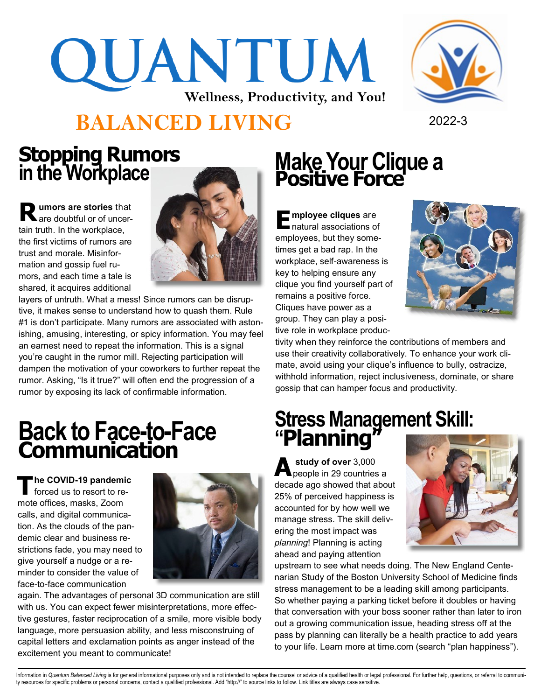# QUANTUM **Wellness, Productivity, and You!**

## **BALANCED LIVING** 2022-3



### **Stopping Rumors in the Workplace**

**R umors are stories** that are doubtful or of uncertain truth. In the workplace, the first victims of rumors are trust and morale. Misinformation and gossip fuel rumors, and each time a tale is shared, it acquires additional



layers of untruth. What a mess! Since rumors can be disruptive, it makes sense to understand how to quash them. Rule #1 is don't participate. Many rumors are associated with astonishing, amusing, interesting, or spicy information. You may feel an earnest need to repeat the information. This is a signal you're caught in the rumor mill. Rejecting participation will dampen the motivation of your coworkers to further repeat the rumor. Asking, "Is it true?" will often end the progression of a rumor by exposing its lack of confirmable information.

## **Back to Face-to-Face Communication**

**T he COVID-19 pandemic**  forced us to resort to remote offices, masks, Zoom calls, and digital communication. As the clouds of the pandemic clear and business restrictions fade, you may need to give yourself a nudge or a reminder to consider the value of face-to-face communication



again. The advantages of personal 3D communication are still with us. You can expect fewer misinterpretations, more effective gestures, faster reciprocation of a smile, more visible body language, more persuasion ability, and less misconstruing of capital letters and exclamation points as anger instead of the excitement you meant to communicate!

## **Make Your Clique a Positive Force**

**E** mployee cliques are<br> **E** natural associations of **mployee cliques** are employees, but they sometimes get a bad rap. In the workplace, self-awareness is key to helping ensure any clique you find yourself part of remains a positive force. Cliques have power as a group. They can play a positive role in workplace produc-



tivity when they reinforce the contributions of members and use their creativity collaboratively. To enhance your work climate, avoid using your clique's influence to bully, ostracize, withhold information, reject inclusiveness, dominate, or share gossip that can hamper focus and productivity.

## **Stress Management Skill: "Planning"**

**A study of over** 3,000 people in 29 countries a decade ago showed that about 25% of perceived happiness is accounted for by how well we manage stress. The skill delivering the most impact was *planning*! Planning is acting ahead and paying attention



upstream to see what needs doing. The New England Centenarian Study of the Boston University School of Medicine finds stress management to be a leading skill among participants. So whether paying a parking ticket before it doubles or having that conversation with your boss sooner rather than later to iron out a growing communication issue, heading stress off at the pass by planning can literally be a health practice to add years to your life. Learn more at time.com (search "plan happiness").

Information in Quantum Balanced Living is for general informational purposes only and is not intended to replace the counsel or advice of a qualified health or legal professional. For further help, questions, or referral t ty resources for specific problems or personal concerns, contact a qualified professional. Add "http://" to source links to follow. Link titles are always case sensitive.